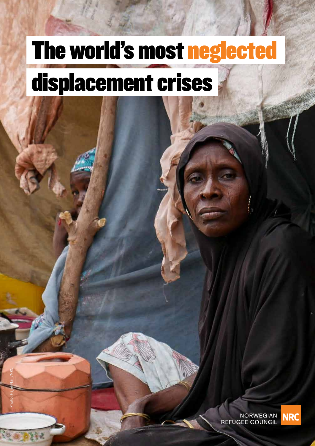# The world's most neglected displacement crises

**NORWEGIAN REFUGEE COUNCIL** 

THE WORLD'S MOST NEGLECTED DISPLACEMENT CRISES 2019 1

Photo: Hajer Naili/NRC

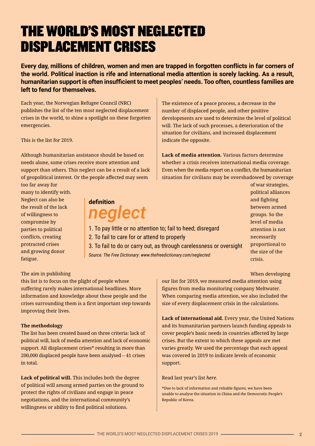# THE WORLD'S MOST NEGLECTED DISPLACEMENT CRISES

**Every day, millions of children, women and men are trapped in forgotten conflicts in far corners of the world. Political inaction is rife and international media attention is sorely lacking. As a result, humanitarian support is often insufficient to meet peoples' needs. Too often, countless families are left to fend for themselves.** 

Each year, the Norwegian Refugee Council (NRC) publishes the list of the ten most neglected displacement crises in the world, to shine a spotlight on these forgotten emergencies.

This is the list for 2019.

Although humanitarian assistance should be based on needs alone, some crises receive more attention and support than others. This neglect can be a result of a lack of geopolitical interest. Or the people affected may seem too far away for

many to identify with. Neglect can also be the result of the lack of willingness to compromise by parties to political conflicts, creating protracted crises and growing donor fatigue.

### The aim in publishing

this list is to focus on the plight of people whose suffering rarely makes international headlines. More information and knowledge about these people and the crises surrounding them is a first important step towards improving their lives.

### **The methodology**

The list has been created based on three criteria: lack of political will, lack of media attention and lack of economic support. All displacement crises\* resulting in more than 200,000 displaced people have been analysed – 41 crises in total.

**Lack of political will.** This includes both the degree of political will among armed parties on the ground to protect the rights of civilians and engage in peace negotiations, and the international community's willingness or ability to find political solutions.

The existence of a peace process, a decrease in the number of displaced people, and other positive developments are used to determine the level of political will. The lack of such processes, a deterioration of the situation for civilians, and increased displacement indicate the opposite.

**Lack of media attention.** Various factors determine whether a crisis receives international media coverage. Even when the media report on a conflict, the humanitarian situation for civilians may be overshadowed by coverage

**definition** *neglect*

1. To pay little or no attention to; fail to heed; disregard 2. To fail to care for or attend to properly 3. To fail to do or carry out, as through carelessness or oversight *Source: The Free Dictionary: www.thefreedictionary.com/neglected*

of war strategies, political alliances and fighting between armed groups. So the level of media attention is not necessarily proportional to the size of the crisis.

When developing

our list for 2019, we measured media attention using figures from media monitoring company Meltwater. When comparing media attention, we also included the size of every displacement crisis in the calculations.

**Lack of international aid.** Every year, the United Nations and its humanitarian partners launch funding appeals to cover people's basic needs in countries affected by large crises. But the extent to which these appeals are met varies greatly. We used the percentage that each appeal was covered in 2019 to indicate levels of economic support.

### Read last year's list *[here](https://www.nrc.no/shorthand/fr/the-worlds-most-neglected-displacement-crises/index.html)*.

\*Due to lack of information and reliable figures, we have been unable to analyse the situation in China and the Democratic People's Republic of Korea.

THE WORLD'S MOST NEGLECTED DISPLACEMENT CRISES 2019 2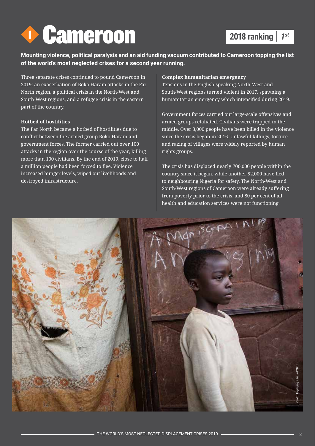

# **2018 ranking** *1st*

**Mounting violence, political paralysis and an aid funding vacuum contributed to Cameroon topping the list of the world's most neglected crises for a second year running.** 

Three separate crises continued to pound Cameroon in 2019: an exacerbation of Boko Haram attacks in the Far North region, a political crisis in the North-West and South-West regions, and a refugee crisis in the eastern part of the country.

### **Hotbed of hostilities**

The Far North became a hotbed of hostilities due to conflict between the armed group Boko Haram and government forces. The former carried out over 100 attacks in the region over the course of the year, killing more than 100 civilians. By the end of 2019, close to half a million people had been forced to flee. Violence increased hunger levels, wiped out livelihoods and destroyed infrastructure.

### **Complex humanitarian emergency**

Tensions in the English-speaking North-West and South-West regions turned violent in 2017, spawning a humanitarian emergency which intensified during 2019.

Government forces carried out large-scale offensives and armed groups retaliated. Civilians were trapped in the middle. Over 3,000 people have been killed in the violence since the crisis began in 2016. Unlawful killings, torture and razing of villages were widely reported by human rights groups.

The crisis has displaced nearly 700,000 people within the country since it began, while another 52,000 have fled to neighbouring Nigeria for safety. The North-West and South-West regions of Cameroon were already suffering from poverty prior to the crisis, and 80 per cent of all health and education services were not functioning.

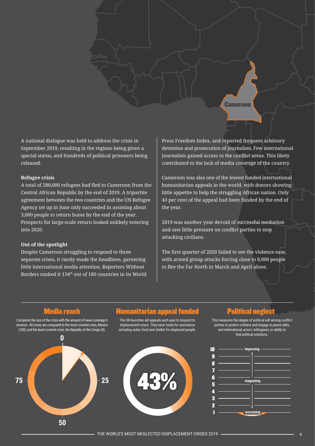A national dialogue was held to address the crisis in September 2019, resulting in the regions being given a special status, and hundreds of political prisoners being released.

### **Refugee crisis**

A total of 280,000 refugees had fled to Cameroon from the Central African Republic by the end of 2019. A tripartite agreement between the two countries and the UN Refugee Agency set up in June only succeeded in assisting about 3,000 people to return home by the end of the year. Prospects for large-scale return looked unlikely entering into 2020.

### **Out of the spotlight**

Despite Cameroon struggling to respond to three separate crises, it rarely made the headlines, garnering little international media attention. Reporters Without Borders ranked it 134th out of 180 countries in its World

Press Freedom Index, and reported frequent arbitrary detention and prosecution of journalists. Few international journalists gained access to the conflict areas. This likely contributed to the lack of media coverage of the country.

**Cameroon** 

Cameroon was also one of the lowest funded international humanitarian appeals in the world, with donors showing little appetite to help the struggling African nation. Only 43 per cent of the appeal had been funded by the end of the year.

2019 was another year devoid of successful mediation and saw little pressure on conflict parties to stop attacking civilians.

The first quarter of 2020 failed to see the violence ease, with armed group attacks forcing close to 8,000 people to flee the Far North in March and April alone.

Compares the size of the crisis with the amount of news coverage it receives. All crises are compared to the most covered crisis, Mexico (100), and the least covered crisis, the Republic of the Congo (0).



### Media reach Humanitarian appeal funded Political neglect

The UN launches aid appeals each year to respond to displacement crises. They raise funds for assistance including water, food and shelter for displaced people.



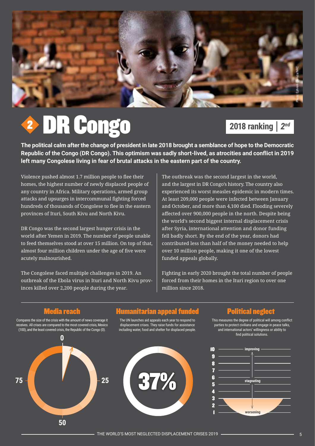

# DR Congo 2

# **2018 ranking** *2nd*

**The political calm after the change of president in late 2018 brought a semblance of hope to the Democratic Republic of the Congo (DR Congo). This optimism was sadly short-lived, as atrocities and conflict in 2019 left many Congolese living in fear of brutal attacks in the eastern part of the country.** 

Violence pushed almost 1.7 million people to flee their homes, the highest number of newly displaced people of any country in Africa. Military operations, armed group attacks and upsurges in intercommunal fighting forced hundreds of thousands of Congolese to flee in the eastern provinces of Ituri, South Kivu and North Kivu.

DR Congo was the second largest hunger crisis in the world after Yemen in 2019. The number of people unable to feed themselves stood at over 15 million. On top of that, almost four million children under the age of five were acutely malnourished.

The Congolese faced multiple challenges in 2019. An outbreak of the Ebola virus in Ituri and North Kivu provinces killed over 2,200 people during the year.

The outbreak was the second largest in the world, and the largest in DR Congo's history. The country also experienced its worst measles epidemic in modern times. At least 209,000 people were infected between January and October, and more than 4,100 died. Flooding severely affected over 900,000 people in the north. Despite being the world's second biggest internal displacement crisis after Syria, international attention and donor funding fell badly short. By the end of the year, donors had contributed less than half of the money needed to help over 10 million people, making it one of the lowest funded appeals globally.

Fighting in early 2020 brought the total number of people forced from their homes in the Ituri region to over one million since 2018.

Compares the size of the crisis with the amount of news coverage it receives. All crises are compared to the most covered crisis, Mexico (100), and the least covered crisis, the Republic of the Congo (0).



### Media reach Humanitarian appeal funded Political neglect

The UN launches aid appeals each year to respond to displacement crises. They raise funds for assistance including water, food and shelter for displaced people.



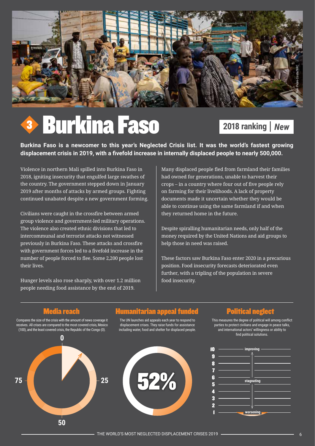

# Burkina Faso 3

# **2018 ranking** *New*

**Burkina Faso is a newcomer to this year's Neglected Crisis list. It was the world's fastest growing displacement crisis in 2019, with a fivefold increase in internally displaced people to nearly 500,000.** 

Violence in northern Mali spilled into Burkina Faso in 2018, igniting insecurity that engulfed large swathes of the country. The government stepped down in January 2019 after months of attacks by armed groups. Fighting continued unabated despite a new government forming.

Civilians were caught in the crossfire between armed group violence and government-led military operations. The violence also created ethnic divisions that led to intercommunal and terrorist attacks not witnessed previously in Burkina Faso. These attacks and crossfire with government forces led to a fivefold increase in the number of people forced to flee. Some 2,200 people lost their lives.

Hunger levels also rose sharply, with over 1.2 million people needing food assistance by the end of 2019.

Many displaced people fled from farmland their families had owned for generations, unable to harvest their crops – in a country where four out of five people rely on farming for their livelihoods. A lack of property documents made it uncertain whether they would be able to continue using the same farmland if and when they returned home in the future.

Despite spiralling humanitarian needs, only half of the money required by the United Nations and aid groups to help those in need was raised.

These factors saw Burkina Faso enter 2020 in a precarious position. Food insecurity forecasts deteriorated even further, with a tripling of the population in severe food insecurity.

Compares the size of the crisis with the amount of news coverage it receives. All crises are compared to the most covered crisis, Mexico (100), and the least covered crisis, the Republic of the Congo (0).



### Media reach Humanitarian appeal funded Political neglect

The UN launches aid appeals each year to respond to displacement crises. They raise funds for assistance including water, food and shelter for displaced people.



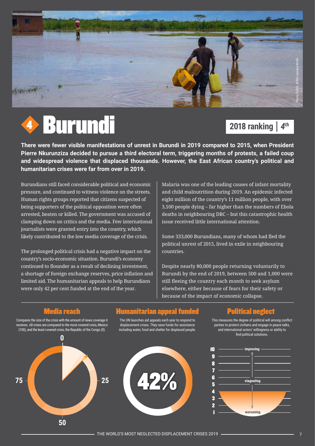



# **2018 ranking** *4th*

**There were fewer visible manifestations of unrest in Burundi in 2019 compared to 2015, when President Pierre Nkurunziza decided to pursue a third electoral term, triggering months of protests, a failed coup and widespread violence that displaced thousands. However, the East African country's political and humanitarian crises were far from over in 2019.** 

Burundians still faced considerable political and economic pressure, and continued to witness violence on the streets. Human rights groups reported that citizens suspected of being supporters of the political opposition were often arrested, beaten or killed. The government was accused of clamping down on critics and the media. Few international journalists were granted entry into the country, which likely contributed to the low media coverage of the crisis.

The prolonged political crisis had a negative impact on the country's socio-economic situation. Burundi's economy continued to flounder as a result of declining investment, a shortage of foreign exchange reserves, price inflation and limited aid. The humanitarian appeals to help Burundians were only 42 per cent funded at the end of the year.

Malaria was one of the leading causes of infant mortality and child malnutrition during 2019. An epidemic infected eight million of the country's 11 million people, with over 3,100 people dying – far higher than the numbers of Ebola deaths in neighbouring DRC – but this catastrophic health issue received little international attention.

Some 333,000 Burundians, many of whom had fled the political unrest of 2015, lived in exile in neighbouring countries.

Despite nearly 80,000 people returning voluntarily to Burundi by the end of 2019, between 500 and 1,000 were still fleeing the country each month to seek asylum elsewhere, either because of fears for their safety or because of the impact of economic collapse.

Compares the size of the crisis with the amount of news coverage it receives. All crises are compared to the most covered crisis, Mexico (100), and the least covered crisis, the Republic of the Congo (0).



### Humanitarian appeal funded **Political neglect**

The UN launches aid appeals each year to respond to displacement crises. They raise funds for assistance including water, food and shelter for displaced people.



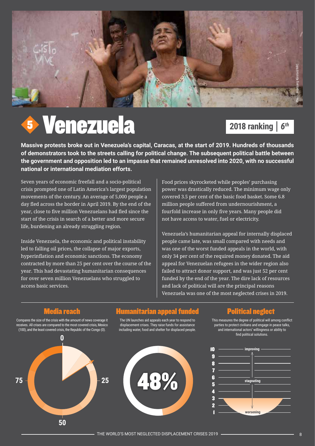

# Venezuela 5

# **2018 ranking** *6th*

**Massive protests broke out in Venezuela's capital, Caracas, at the start of 2019. Hundreds of thousands of demonstrators took to the streets calling for political change. The subsequent political battle between the government and opposition led to an impasse that remained unresolved into 2020, with no successful national or international mediation efforts.**

Seven years of economic freefall and a socio-political crisis prompted one of Latin America's largest population movements of the century. An average of 5,000 people a day fled across the border in April 2019. By the end of the year, close to five million Venezuelans had fled since the start of the crisis in search of a better and more secure life, burdening an already struggling region.

Inside Venezuela, the economic and political instability led to falling oil prices, the collapse of major exports, hyperinflation and economic sanctions. The economy contracted by more than 25 per cent over the course of the year. This had devastating humanitarian consequences for over seven million Venezuelans who struggled to access basic services.

Food prices skyrocketed while peoples' purchasing power was drastically reduced. The minimum wage only covered 3.5 per cent of the basic food basket. Some 6.8 million people suffered from undernourishment, a fourfold increase in only five years. Many people did not have access to water, fuel or electricity.

Venezuela's humanitarian appeal for internally displaced people came late, was small compared with needs and was one of the worst funded appeals in the world, with only 34 per cent of the required money donated. The aid appeal for Venezuelan refugees in the wider region also failed to attract donor support, and was just 52 per cent funded by the end of the year. The dire lack of resources and lack of political will are the principal reasons Venezuela was one of the most neglected crises in 2019.

Compares the size of the crisis with the amount of news coverage it receives. All crises are compared to the most covered crisis, Mexico (100), and the least covered crisis, the Republic of the Congo (0).



### Humanitarian appeal funded **Political neglect**

The UN launches aid appeals each year to respond to displacement crises. They raise funds for assistance including water, food and shelter for displaced people.



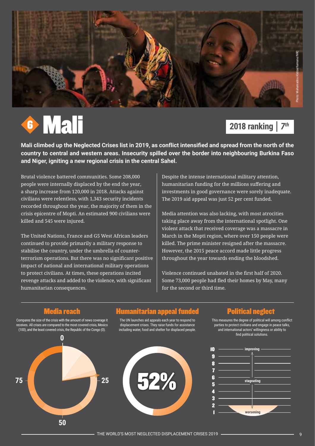



# **2018 ranking** *7th*

**Mali climbed up the Neglected Crises list in 2019, as conflict intensified and spread from the north of the country to central and western areas. Insecurity spilled over the border into neighbouring Burkina Faso and Niger, igniting a new regional crisis in the central Sahel.**

Brutal violence battered communities. Some 208,000 people were internally displaced by the end the year, a sharp increase from 120,000 in 2018. Attacks against civilians were relentless, with 1,343 security incidents recorded throughout the year, the majority of them in the crisis epicentre of Mopti. An estimated 900 civilians were killed and 545 were injured.

The United Nations, France and G5 West African leaders continued to provide primarily a military response to stabilise the country, under the umbrella of counterterrorism operations. But there was no significant positive impact of national and international military operations to protect civilians. At times, these operations incited revenge attacks and added to the violence, with significant humanitarian consequences.

Despite the intense international military attention, humanitarian funding for the millions suffering and investments in good governance were sorely inadequate. The 2019 aid appeal was just 52 per cent funded.

Media attention was also lacking, with most atrocities taking place away from the international spotlight. One violent attack that received coverage was a massacre in March in the Mopti region, where over 150 people were killed. The prime minister resigned after the massacre. However, the 2015 peace accord made little progress throughout the year towards ending the bloodshed.

Violence continued unabated in the first half of 2020. Some 73,000 people had fled their homes by May, many for the second or third time.

Compares the size of the crisis with the amount of news coverage it receives. All crises are compared to the most covered crisis, Mexico (100), and the least covered crisis, the Republic of the Congo (0).



### Media reach Humanitarian appeal funded Political neglect

The UN launches aid appeals each year to respond to displacement crises. They raise funds for assistance including water, food and shelter for displaced people.



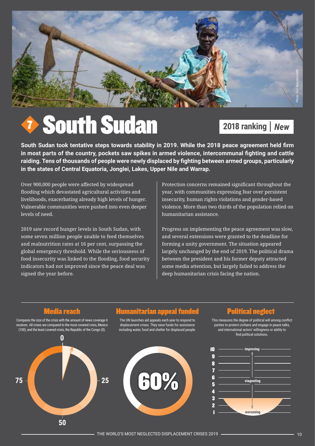

# South Sudan 7

# **2018 ranking** *New*

**South Sudan took tentative steps towards stability in 2019. While the 2018 peace agreement held firm in most parts of the country, pockets saw spikes in armed violence, intercommunal fighting and cattle raiding. Tens of thousands of people were newly displaced by fighting between armed groups, particularly in the states of Central Equatoria, Jonglei, Lakes, Upper Nile and Warrap.**

Over 900,000 people were affected by widespread flooding which devastated agricultural activities and livelihoods, exacerbating already high levels of hunger. Vulnerable communities were pushed into even deeper levels of need.

2019 saw record hunger levels in South Sudan, with some seven million people unable to feed themselves and malnutrition rates at 16 per cent, surpassing the global emergency threshold. While the seriousness of food insecurity was linked to the flooding, food security indicators had not improved since the peace deal was signed the year before.

Protection concerns remained significant throughout the year, with communities expressing fear over persistent insecurity, human rights violations and gender-based violence. More than two thirds of the population relied on humanitarian assistance.

Progress on implementing the peace agreement was slow, and several extensions were granted to the deadline for forming a unity government. The situation appeared largely unchanged by the end of 2019. The political drama between the president and his former deputy attracted some media attention, but largely failed to address the deep humanitarian crisis facing the nation.

Compares the size of the crisis with the amount of news coverage it receives. All crises are compared to the most covered crisis, Mexico (100), and the least covered crisis, the Republic of the Congo (0).



### Media reach Humanitarian appeal funded Political neglect

The UN launches aid appeals each year to respond to displacement crises. They raise funds for assistance including water, food and shelter for displaced people.



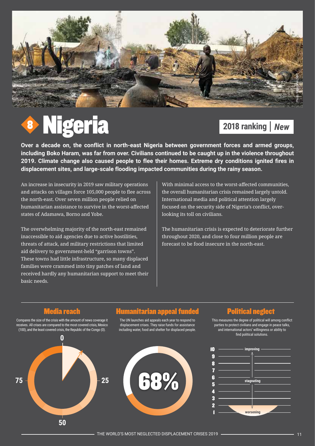

# Nigeria 8

# **2018 ranking** *New*

**Over a decade on, the conflict in north-east Nigeria between government forces and armed groups, including Boko Haram, was far from over. Civilians continued to be caught up in the violence throughout 2019. Climate change also caused people to flee their homes. Extreme dry conditions ignited fires in displacement sites, and large-scale flooding impacted communities during the rainy season.** 

An increase in insecurity in 2019 saw military operations and attacks on villages force 105,000 people to flee across the north-east. Over seven million people relied on humanitarian assistance to survive in the worst-affected states of Adamawa, Borno and Yobe.

The overwhelming majority of the north-east remained inaccessible to aid agencies due to active hostilities, threats of attack, and military restrictions that limited aid delivery to government-held "garrison towns". These towns had little infrastructure, so many displaced families were crammed into tiny patches of land and received hardly any humanitarian support to meet their basic needs.

With minimal access to the worst-affected communities, the overall humanitarian crisis remained largely untold. International media and political attention largely focused on the security side of Nigeria's conflict, overlooking its toll on civilians.

The humanitarian crisis is expected to deteriorate further throughout 2020, and close to four million people are forecast to be food insecure in the north-east.

Compares the size of the crisis with the amount of news coverage it receives. All crises are compared to the most covered crisis, Mexico (100), and the least covered crisis, the Republic of the Congo (0).



### Media reach Humanitarian appeal funded Political neglect

The UN launches aid appeals each year to respond to displacement crises. They raise funds for assistance including water, food and shelter for displaced people.



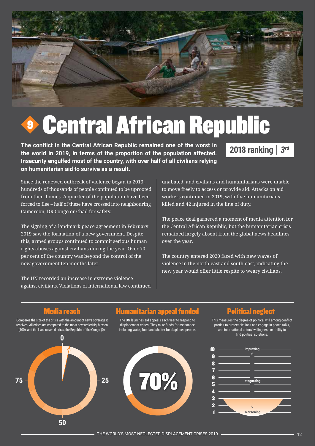

# Central African Republic 9

**The conflict in the Central African Republic remained one of the worst in the world in 2019, in terms of the proportion of the population affected. Insecurity engulfed most of the country, with over half of all civilians relying on humanitarian aid to survive as a result.**

# **2018 ranking** *3rd*

Since the renewed outbreak of violence began in 2013, hundreds of thousands of people continued to be uprooted from their homes. A quarter of the population have been forced to flee – half of these have crossed into neighbouring Cameroon, DR Congo or Chad for safety.

The signing of a landmark peace agreement in February 2019 saw the formation of a new government. Despite this, armed groups continued to commit serious human rights abuses against civilians during the year. Over 70 per cent of the country was beyond the control of the new government ten months later.

The UN recorded an increase in extreme violence against civilians. Violations of international law continued unabated, and civilians and humanitarians were unable to move freely to access or provide aid. Attacks on aid workers continued in 2019, with five humanitarians killed and 42 injured in the line of duty.

The peace deal garnered a moment of media attention for the Central African Republic, but the humanitarian crisis remained largely absent from the global news headlines over the year.

The country entered 2020 faced with new waves of violence in the north-east and south-east, indicating the new year would offer little respite to weary civilians.

Compares the size of the crisis with the amount of news coverage it receives. All crises are compared to the most covered crisis, Mexico (100), and the least covered crisis, the Republic of the Congo (0).



### Media reach Humanitarian appeal funded Political neglect

The UN launches aid appeals each year to respond to displacement crises. They raise funds for assistance including water, food and shelter for displaced people.



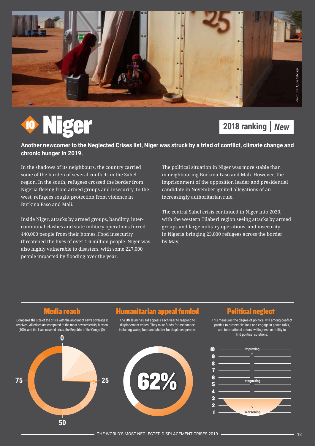

# Niger 10

# **2018 ranking** *New*

**Another newcomer to the Neglected Crises list, Niger was struck by a triad of conflict, climate change and chronic hunger in 2019.** 

In the shadows of its neighbours, the country carried some of the burden of several conflicts in the Sahel region. In the south, refugees crossed the border from Nigeria fleeing from armed groups and insecurity. In the west, refugees sought protection from violence in Burkina Faso and Mali.

Inside Niger, attacks by armed groups, banditry, intercommunal clashes and state military operations forced 440,000 people from their homes. Food insecurity threatened the lives of over 1.6 million people. Niger was also highly vulnerable to disasters, with some 227,000 people impacted by flooding over the year.

The political situation in Niger was more stable than in neighbouring Burkina Faso and Mali. However, the imprisonment of the opposition leader and presidential candidate in November ignited allegations of an increasingly authoritarian rule.

The central Sahel crisis continued in Niger into 2020, with the western Tilaberi region seeing attacks by armed groups and large military operations, and insecurity in Nigeria bringing 23,000 refugees across the border by May.

Compares the size of the crisis with the amount of news coverage it receives. All crises are compared to the most covered crisis, Mexico (100), and the least covered crisis, the Republic of the Congo (0).



## Media reach Humanitarian appeal funded Political neglect

The UN launches aid appeals each year to respond to displacement crises. They raise funds for assistance including water, food and shelter for displaced people.



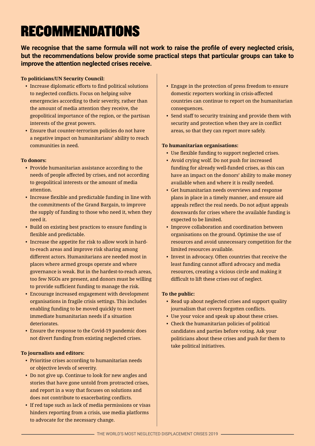# RECOMMENDATIONS

**We recognise that the same formula will not work to raise the profile of every neglected crisis, but the recommendations below provide some practical steps that particular groups can take to improve the attention neglected crises receive.** 

**To politicians/UN Security Council:** 

- Increase diplomatic efforts to find political solutions to neglected conflicts. Focus on helping solve emergencies according to their severity, rather than the amount of media attention they receive, the geopolitical importance of the region, or the partisan interests of the great powers.
- Ensure that counter-terrorism policies do not have a negative impact on humanitarians' ability to reach communities in need.

### **To donors:**

- Provide humanitarian assistance according to the needs of people affected by crises, and not according to geopolitical interests or the amount of media attention.
- Increase flexible and predictable funding in line with the commitments of the Grand Bargain, to improve the supply of funding to those who need it, when they need it.
- Build on existing best practices to ensure funding is flexible and predictable.
- Increase the appetite for risk to allow work in hardto-reach areas and improve risk sharing among different actors. Humanitarians are needed most in places where armed groups operate and where governance is weak. But in the hardest-to-reach areas, too few NGOs are present, and donors must be willing to provide sufficient funding to manage the risk.
- Encourage increased engagement with development organisations in fragile crisis settings. This includes enabling funding to be moved quickly to meet immediate humanitarian needs if a situation deteriorates.
- Ensure the response to the Covid-19 pandemic does not divert funding from existing neglected crises.

### **To journalists and editors:**

- Prioritise crises according to humanitarian needs or objective levels of severity.
- Do not give up. Continue to look for new angles and stories that have gone untold from protracted crises, and report in a way that focuses on solutions and does not contribute to exacerbating conflicts.
- If red tape such as lack of media permissions or visas hinders reporting from a crisis, use media platforms to advocate for the necessary change.
- Engage in the protection of press freedom to ensure domestic reporters working in crisis-affected countries can continue to report on the humanitarian consequences.
- Send staff to security training and provide them with security and protection when they are in conflict areas, so that they can report more safely.

### **To humanitarian organisations:**

- Use flexible funding to support neglected crises.
- Avoid crying wolf. Do not push for increased funding for already well-funded crises, as this can have an impact on the donors' ability to make money available when and where it is really needed.
- Get humanitarian needs overviews and response plans in place in a timely manner, and ensure aid appeals reflect the real needs. Do not adjust appeals downwards for crises where the available funding is expected to be limited.
- Improve collaboration and coordination between organisations on the ground. Optimise the use of resources and avoid unnecessary competition for the limited resources available.
- Invest in advocacy. Often countries that receive the least funding cannot afford advocacy and media resources, creating a vicious circle and making it difficult to lift these crises out of neglect.

### **To the public:**

- Read up about neglected crises and support quality journalism that covers forgotten conflicts.
- Use your voice and speak up about these crises.
- Check the humanitarian policies of political candidates and parties before voting. Ask your politicians about these crises and push for them to take political initiatives.